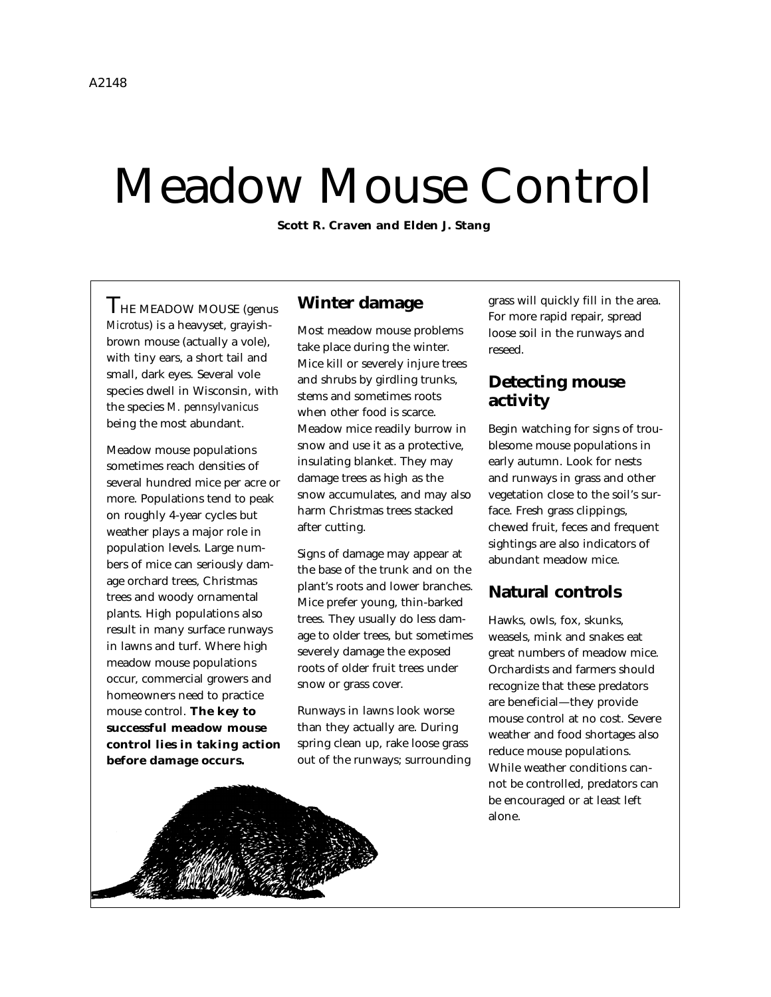# Meadow Mouse Control

**Scott R. Craven and Elden J. Stang**

THE MEADOW MOUSE (genus *Microtus*) is a heavyset, grayishbrown mouse (actually a vole), with tiny ears, a short tail and small, dark eyes. Several vole species dwell in Wisconsin, with the species *M. pennsylvanicus* being the most abundant.

Meadow mouse populations sometimes reach densities of several hundred mice per acre or more. Populations tend to peak on roughly 4-year cycles but weather plays a major role in population levels. Large numbers of mice can seriously damage orchard trees, Christmas trees and woody ornamental plants. High populations also result in many surface runways in lawns and turf. Where high meadow mouse populations occur, commercial growers and homeowners need to practice mouse control. **The key to successful meadow mouse control lies in taking action before damage occurs.**

#### **Winter damage**

Most meadow mouse problems take place during the winter. Mice kill or severely injure trees and shrubs by girdling trunks, stems and sometimes roots when other food is scarce. Meadow mice readily burrow in snow and use it as a protective, insulating blanket. They may damage trees as high as the snow accumulates, and may also harm Christmas trees stacked after cutting.

Signs of damage may appear at the base of the trunk and on the plant's roots and lower branches. Mice prefer young, thin-barked trees. They usually do less damage to older trees, but sometimes severely damage the exposed roots of older fruit trees under snow or grass cover.

Runways in lawns look worse than they actually are. During spring clean up, rake loose grass out of the runways; surrounding grass will quickly fill in the area. For more rapid repair, spread loose soil in the runways and reseed.

### **Detecting mouse activity**

Begin watching for signs of troublesome mouse populations in early autumn. Look for nests and runways in grass and other vegetation close to the soil's surface. Fresh grass clippings, chewed fruit, feces and frequent sightings are also indicators of abundant meadow mice.

# **Natural controls**

Hawks, owls, fox, skunks, weasels, mink and snakes eat great numbers of meadow mice. Orchardists and farmers should recognize that these predators are beneficial—they provide mouse control at no cost. Severe weather and food shortages also reduce mouse populations. While weather conditions cannot be controlled, predators can be encouraged or at least left alone.

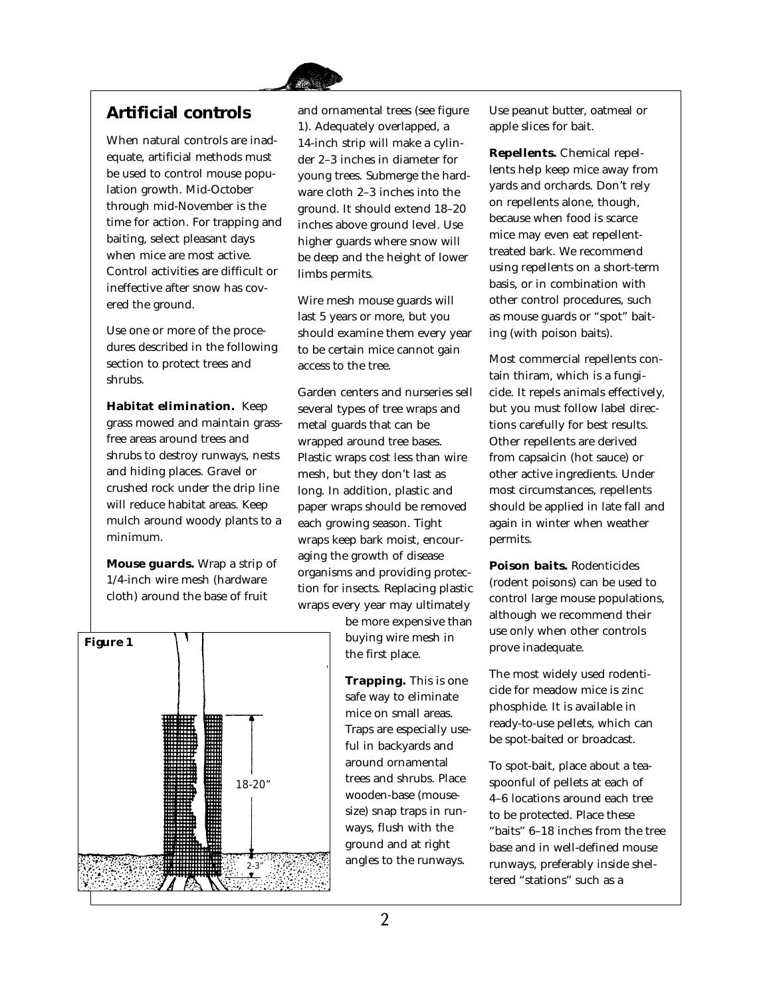

# **Artificial controls**

When natural controls are inadequate, artificial methods must be used to control mouse population growth. Mid-October through mid-November is the time for action. For trapping and baiting, select pleasant days when mice are most active. Control activities are difficult or ineffective after snow has covered the ground.

Use one or more of the procedures described in the following section to protect trees and shrubs.

**Habitat elimination.** Keep grass mowed and maintain grassfree areas around trees and shrubs to destroy runways, nests and hiding places. Gravel or crushed rock under the drip line will reduce habitat areas. Keep mulch around woody plants to a minimum.

**Mouse guards.** Wrap a strip of 1/4-inch wire mesh (hardware cloth) around the base of fruit



and ornamental trees (see figure 1). Adequately overlapped, a 14-inch strip will make a cylinder 2–3 inches in diameter for young trees. Submerge the hardware cloth 2–3 inches into the ground. It should extend 18–20 inches above ground level. Use higher guards where snow will be deep and the height of lower limbs permits.

Wire mesh mouse guards will last 5 years or more, but you should examine them every year to be certain mice cannot gain access to the tree.

Garden centers and nurseries sell several types of tree wraps and metal guards that can be wrapped around tree bases. Plastic wraps cost less than wire mesh, but they don't last as long. In addition, plastic and paper wraps should be removed each growing season. Tight wraps keep bark moist, encouraging the growth of disease organisms and providing protection for insects. Replacing plastic wraps every year may ultimately

> be more expensive than buying wire mesh in the first place.

**Trapping.** This is one safe way to eliminate mice on small areas. Traps are especially useful in backyards and around ornamental trees and shrubs. Place wooden-base (mousesize) snap traps in runways, flush with the ground and at right angles to the runways.

Use peanut butter, oatmeal or apple slices for bait.

**Repellents.** Chemical repellents help keep mice away from yards and orchards. Don't rely on repellents alone, though, because when food is scarce mice may even eat repellenttreated bark. We recommend using repellents on a short-term basis, or in combination with other control procedures, such as mouse guards or "spot" baiting (with poison baits).

Most commercial repellents contain thiram, which is a fungicide. It repels animals effectively, but you must follow label directions carefully for best results. Other repellents are derived from capsaicin (hot sauce) or other active ingredients. Under most circumstances, repellents should be applied in late fall and again in winter when weather permits.

**Poison baits.** Rodenticides (rodent poisons) can be used to control large mouse populations, although we recommend their use only when other controls prove inadequate.

The most widely used rodenticide for meadow mice is zinc phosphide. It is available in ready-to-use pellets, which can be spot-baited or broadcast.

To spot-bait, place about a teaspoonful of pellets at each of 4–6 locations around each tree to be protected. Place these "baits" 6–18 inches from the tree base and in well-defined mouse runways, preferably inside sheltered "stations" such as a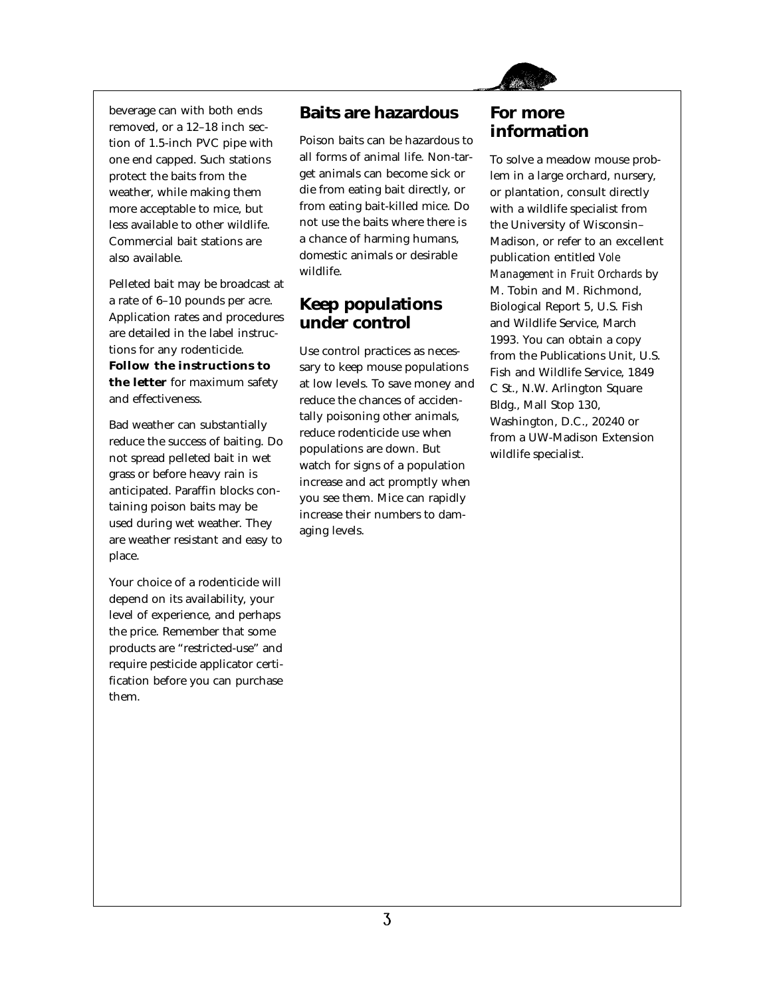

beverage can with both ends removed, or a 12–18 inch section of 1.5-inch PVC pipe with one end capped. Such stations protect the baits from the weather, while making them more acceptable to mice, but less available to other wildlife. Commercial bait stations are also available.

Pelleted bait may be broadcast at a rate of 6–10 pounds per acre. Application rates and procedures are detailed in the label instructions for any rodenticide. **Follow the instructions to the letter** for maximum safety and effectiveness.

Bad weather can substantially reduce the success of baiting. Do not spread pelleted bait in wet grass or before heavy rain is anticipated. Paraffin blocks containing poison baits may be used during wet weather. They are weather resistant and easy to place.

Your choice of a rodenticide will depend on its availability, your level of experience, and perhaps the price. Remember that some products are "restricted-use" and require pesticide applicator certification before you can purchase them.

# **Baits are hazardous**

Poison baits can be hazardous to all forms of animal life. Non-target animals can become sick or die from eating bait directly, or from eating bait-killed mice. Do not use the baits where there is a chance of harming humans, domestic animals or desirable wildlife.

# **Keep populations under control**

Use control practices as necessary to keep mouse populations at low levels. To save money and reduce the chances of accidentally poisoning other animals, reduce rodenticide use when populations are down. But watch for signs of a population increase and act promptly when you see them. Mice can rapidly increase their numbers to damaging levels.

# **For more information**

To solve a meadow mouse problem in a large orchard, nursery, or plantation, consult directly with a wildlife specialist from the University of Wisconsin– Madison, or refer to an excellent publication entitled *Vole Management in Fruit Orchards* by M. Tobin and M. Richmond, Biological Report 5, U.S. Fish and Wildlife Service, March 1993. You can obtain a copy from the Publications Unit, U.S. Fish and Wildlife Service, 1849 C St., N.W. Arlington Square Bldg., Mall Stop 130, Washington, D.C., 20240 or from a UW-Madison Extension wildlife specialist.